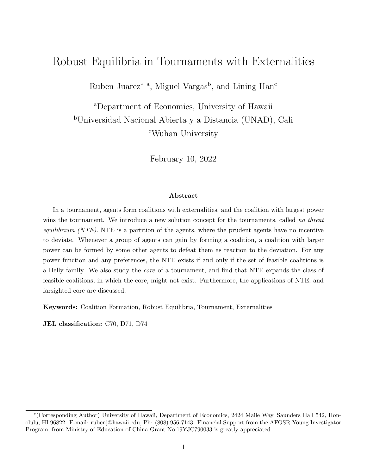# Robust Equilibria in Tournaments with Externalities

Ruben Juarez<sup>\*</sup><sup>a</sup>, Miguel Vargas<sup>b</sup>, and Lining Han<sup>c</sup>

<sup>a</sup>Department of Economics, University of Hawaii <sup>b</sup>Universidad Nacional Abierta y a Distancia (UNAD), Cali <sup>c</sup>Wuhan University

February 10, 2022

#### Abstract

In a tournament, agents form coalitions with externalities, and the coalition with largest power wins the tournament. We introduce a new solution concept for the tournaments, called no threat *equilibrium (NTE).* NTE is a partition of the agents, where the prudent agents have no incentive to deviate. Whenever a group of agents can gain by forming a coalition, a coalition with larger power can be formed by some other agents to defeat them as reaction to the deviation. For any power function and any preferences, the NTE exists if and only if the set of feasible coalitions is a Helly family. We also study the core of a tournament, and find that NTE expands the class of feasible coalitions, in which the core, might not exist. Furthermore, the applications of NTE, and farsighted core are discussed.

Keywords: Coalition Formation, Robust Equilibria, Tournament, Externalities

JEL classification: C70, D71, D74

<sup>∗</sup> (Corresponding Author) University of Hawaii, Department of Economics, 2424 Maile Way, Saunders Hall 542, Honolulu, HI 96822. E-mail: rubenj@hawaii.edu, Ph: (808) 956-7143. Financial Support from the AFOSR Young Investigator Program, from Ministry of Education of China Grant No.19YJC790033 is greatly appreciated.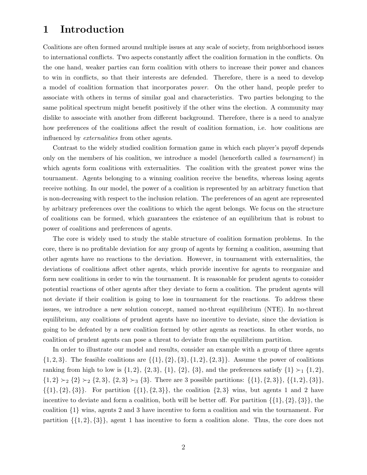# 1 Introduction

Coalitions are often formed around multiple issues at any scale of society, from neighborhood issues to international conflicts. Two aspects constantly affect the coalition formation in the conflicts. On the one hand, weaker parties can form coalition with others to increase their power and chances to win in conflicts, so that their interests are defended. Therefore, there is a need to develop a model of coalition formation that incorporates power. On the other hand, people prefer to associate with others in terms of similar goal and characteristics. Two parties belonging to the same political spectrum might benefit positively if the other wins the election. A community may dislike to associate with another from different background. Therefore, there is a need to analyze how preferences of the coalitions affect the result of coalition formation, i.e. how coalitions are influenced by externalities from other agents.

Contrast to the widely studied coalition formation game in which each player's payoff depends only on the members of his coalition, we introduce a model (henceforth called a tournament) in which agents form coalitions with externalities. The coalition with the greatest power wins the tournament. Agents belonging to a winning coalition receive the benefits, whereas losing agents receive nothing. In our model, the power of a coalition is represented by an arbitrary function that is non-decreasing with respect to the inclusion relation. The preferences of an agent are represented by arbitrary preferences over the coalitions to which the agent belongs. We focus on the structure of coalitions can be formed, which guarantees the existence of an equilibrium that is robust to power of coalitions and preferences of agents.

The core is widely used to study the stable structure of coalition formation problems. In the core, there is no profitable deviation for any group of agents by forming a coalition, assuming that other agents have no reactions to the deviation. However, in tournament with externalities, the deviations of coalitions affect other agents, which provide incentive for agents to reorganize and form new coalitions in order to win the tournament. It is reasonable for prudent agents to consider potential reactions of other agents after they deviate to form a coalition. The prudent agents will not deviate if their coalition is going to lose in tournament for the reactions. To address these issues, we introduce a new solution concept, named no-threat equilibrium (NTE). In no-threat equilibrium, any coalitions of prudent agents have no incentive to deviate, since the deviation is going to be defeated by a new coalition formed by other agents as reactions. In other words, no coalition of prudent agents can pose a threat to deviate from the equilibrium partition.

In order to illustrate our model and results, consider an example with a group of three agents  $\{1, 2, 3\}.$  The feasible coalitions are  $\{\{1\}, \{2\}, \{3\}, \{1, 2\}, \{2, 3\}\}.$  Assume the power of coalitions ranking from high to low is  $\{1, 2\}$ ,  $\{2, 3\}$ ,  $\{1\}$ ,  $\{2\}$ ,  $\{3\}$ , and the preferences satisfy  $\{1\} \succ_1 \{1, 2\}$ ,  $\{1, 2\} \succ_2 \{2\} \succ_2 \{2, 3\}, \{2, 3\} \succ_3 \{3\}.$  There are 3 possible partitions:  $\{\{1\}, \{2, 3\}\}, \{\{1, 2\}, \{3\}\},$  $\{\{1\}, \{2, 3\}\}\$ . For partition  $\{\{1\}, \{2, 3\}\}\$ , the coalition  $\{2, 3\}$  wins, but agents 1 and 2 have incentive to deviate and form a coalition, both will be better off. For partition  $\{\{1\},\{2\},\{3\}\}\,$ , the coalition {1} wins, agents 2 and 3 have incentive to form a coalition and win the tournament. For partition  $\{\{1,2\},\{3\}\}\$ , agent 1 has incentive to form a coalition alone. Thus, the core does not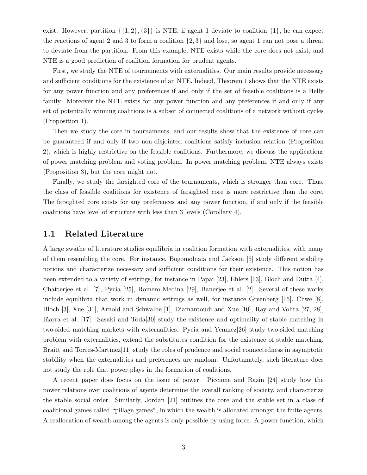exist. However, partition  $\{\{1, 2\}, \{3\}\}\$ is NTE, if agent 1 deviate to coalition  $\{1\}$ , he can expect the reactions of agent 2 and 3 to form a coalition  $\{2,3\}$  and lose, so agent 1 can not pose a threat to deviate from the partition. From this example, NTE exists while the core does not exist, and NTE is a good prediction of coalition formation for prudent agents.

First, we study the NTE of tournaments with externalities. Our main results provide necessary and sufficient conditions for the existence of an NTE. Indeed, Theorem 1 shows that the NTE exists for any power function and any preferences if and only if the set of feasible coalitions is a Helly family. Moreover the NTE exists for any power function and any preferences if and only if any set of potentially winning coalitions is a subset of connected coalitions of a network without cycles (Proposition 1).

Then we study the core in tournaments, and our results show that the existence of core can be guaranteed if and only if two non-disjointed coalitions satisfy inclusion relation (Proposition 2), which is highly restrictive on the feasible coalitions. Furthermore, we discuss the applications of power matching problem and voting problem. In power matching problem, NTE always exists (Proposition 3), but the core might not.

Finally, we study the farsighted core of the tournaments, which is stronger than core. Thus, the class of feasible coalitions for existence of farsighted core is more restrictive than the core. The farsighted core exists for any preferences and any power function, if and only if the feasible coalitions have level of structure with less than 3 levels (Corollary 4).

### 1.1 Related Literature

A large swathe of literature studies equilibria in coalition formation with externalities, with many of them resembling the core. For instance, Bogomolnaia and Jackson [5] study different stability notions and characterize necessary and sufficient conditions for their existence. This notion has been extended to a variety of settings, for instance in Papai [23], Ehlers [13], Bloch and Dutta [4], Chatterjee et al. [7], Pycia [25], Romero-Medina [29], Banerjee et al. [2]. Several of these works include equilibria that work in dynamic settings as well, for instance Greenberg [15], Chwe [8], Bloch [3], Xue [31], Arnold and Schwalbe [1], Diamantoudi and Xue [10], Ray and Vohra [27, 28], Iñarra et al. [17]. Sasaki and Toda<sup>[30]</sup> study the existence and optimality of stable matching in two-sided matching markets with externalities. Pycia and Yenmez[26] study two-sided matching problem with externalities, extend the substitutes condition for the existence of stable matching. Braitt and Torres-Martínez<sup>[11]</sup> study the roles of prudence and social connectedness in asymptotic stability when the externalities and preferences are random. Unfortunately, such literature does not study the role that power plays in the formation of coalitions.

A recent paper does focus on the issue of power. Piccione and Razin [24] study how the power relations over coalitions of agents determine the overall ranking of society, and characterize the stable social order. Similarly, Jordan [21] outlines the core and the stable set in a class of coalitional games called "pillage games", in which the wealth is allocated amongst the finite agents. A reallocation of wealth among the agents is only possible by using force. A power function, which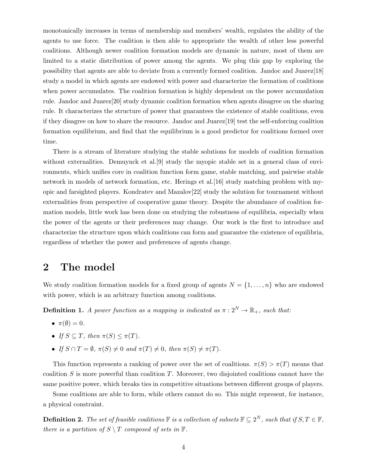monotonically increases in terms of membership and members' wealth, regulates the ability of the agents to use force. The coalition is then able to appropriate the wealth of other less powerful coalitions. Although newer coalition formation models are dynamic in nature, most of them are limited to a static distribution of power among the agents. We plug this gap by exploring the possibility that agents are able to deviate from a currently formed coalition. Jandoc and Juarez[18] study a model in which agents are endowed with power and characterize the formation of coalitions when power accumulates. The coalition formation is highly dependent on the power accumulation rule. Jandoc and Juarez[20] study dynamic coalition formation when agents disagree on the sharing rule. It characterizes the structure of power that guarantees the existence of stable coalitions, even if they disagree on how to share the resource. Jandoc and Juarez $[19]$  test the self-enforcing coalition formation equilibrium, and find that the equilibrium is a good predictor for coalitions formed over time.

There is a stream of literature studying the stable solutions for models of coalition formation without externalities. Demuynck et al. [9] study the myopic stable set in a general class of environments, which unifies core in coalition function form game, stable matching, and pairwise stable network in models of network formation, etc. Herings et al.[16] study matching problem with myopic and farsighted players. Kondratev and Mazalov[22] study the solution for tournament without externalities from perspective of cooperative game theory. Despite the abundance of coalition formation models, little work has been done on studying the robustness of equilibria, especially when the power of the agents or their preferences may change. Our work is the first to introduce and characterize the structure upon which coalitions can form and guarantee the existence of equilibria, regardless of whether the power and preferences of agents change.

# 2 The model

We study coalition formation models for a fixed group of agents  $N = \{1, \ldots, n\}$  who are endowed with power, which is an arbitrary function among coalitions.

**Definition 1.** A power function as a mapping is indicated as  $\pi : 2^N \to \mathbb{R}_+$ , such that:

- $\pi(\emptyset) = 0$ .
- If  $S \subseteq T$ , then  $\pi(S) \leq \pi(T)$ .
- If  $S \cap T = \emptyset$ ,  $\pi(S) \neq 0$  and  $\pi(T) \neq 0$ , then  $\pi(S) \neq \pi(T)$ .

This function represents a ranking of power over the set of coalitions.  $\pi(S) > \pi(T)$  means that coalition  $S$  is more powerful than coalition  $T$ . Moreover, two disjointed coalitions cannot have the same positive power, which breaks ties in competitive situations between different groups of players.

Some coalitions are able to form, while others cannot do so. This might represent, for instance, a physical constraint.

**Definition 2.** The set of feasible coalitions  $\mathbb{F}$  is a collection of subsets  $\mathbb{F} \subseteq 2^N$ , such that if  $S, T \in \mathbb{F}$ , there is a partition of  $S \setminus T$  composed of sets in  $\mathbb{F}$ .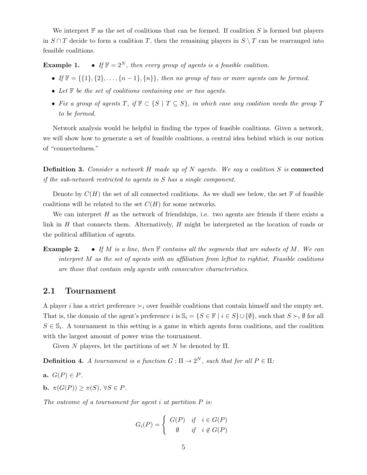We interpret  $\mathbb F$  as the set of coalitions that can be formed. If coalition S is formed but players in  $S \cap T$  decide to form a coalition T, then the remaining players in  $S \setminus T$  can be rearranged into feasible coalitions.

**Example 1.** • If  $\mathbb{F} = 2^N$ , then every group of agents is a feasible coalition.

- If  $\mathbb{F} = \{\{1\}, \{2\}, \ldots, \{n-1\}, \{n\}\}\$ , then no group of two or more agents can be formed.
- Let  $\mathbb F$  be the set of coalitions containing one or two agents.
- Fix a group of agents T, if  $\mathbb{F} \subset \{S \mid T \subseteq S\}$ , in which case any coalition needs the group T to be formed.

Network analysis would be helpful in finding the types of feasible coalitions. Given a network, we will show how to generate a set of feasible coalitions, a central idea behind which is our notion of "connectedness."

**Definition 3.** Consider a network H made up of N agents. We say a coalition S is connected if the sub-network restricted to agents in S has a single component.

Denote by  $C(H)$  the set of all connected coalitions. As we shall see below, the set F of feasible coalitions will be related to the set  $C(H)$  for some networks.

We can interpret  $H$  as the network of friendships, i.e. two agents are friends if there exists a link in  $H$  that connects them. Alternatively,  $H$  might be interpreted as the location of roads or the political affiliation of agents.

**Example 2.** • If M is a line, then  $\mathbb F$  contains all the segments that are subsets of M. We can interpret M as the set of agents with an affiliation from leftist to rightist. Feasible coalitions are those that contain only agents with consecutive characteristics.

### 2.1 Tournament

A player i has a strict preference  $\succ_i$  over feasible coalitions that contain himself and the empty set. That is, the domain of the agent's preference i is  $\mathbb{S}_i = \{S \in \mathbb{F} \mid i \in S\} \cup \{\emptyset\}$ , such that  $S \succ_i \emptyset$  for all  $S \in \mathbb{S}_i$ . A tournament in this setting is a game in which agents form coalitions, and the coalition with the largest amount of power wins the tournament.

Given N players, let the partitions of set N be denoted by  $\Pi$ .

**Definition 4.** A tournament is a function  $G: \Pi \to 2^N$ , such that for all  $P \in \Pi$ :

- a.  $G(P) \in P$ .
- b.  $\pi(G(P)) > \pi(S)$ ,  $\forall S \in P$ .

The outcome of a tournament for agent  $i$  at partition  $P$  is:

$$
G_i(P) = \begin{cases} G(P) & \text{if } i \in G(P) \\ \emptyset & \text{if } i \notin G(P) \end{cases}
$$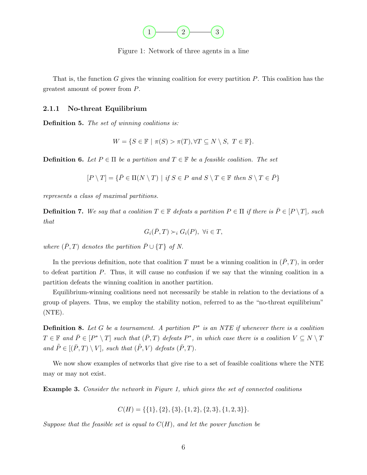

Figure 1: Network of three agents in a line

That is, the function  $G$  gives the winning coalition for every partition  $P$ . This coalition has the greatest amount of power from P.

#### 2.1.1 No-threat Equilibrium

Definition 5. The set of winning coalitions is:

$$
W = \{ S \in \mathbb{F} \mid \pi(S) > \pi(T), \forall T \subseteq N \setminus S, T \in \mathbb{F} \}.
$$

**Definition 6.** Let  $P \in \Pi$  be a partition and  $T \in \mathbb{F}$  be a feasible coalition. The set

$$
[P \setminus T] = \{ \overline{P} \in \Pi(N \setminus T) \mid \text{if } S \in P \text{ and } S \setminus T \in \mathbb{F} \text{ then } S \setminus T \in \overline{P} \}
$$

represents a class of maximal partitions.

**Definition 7.** We say that a coalition  $T \in \mathbb{F}$  defeats a partition  $P \in \Pi$  if there is  $\overline{P} \in [P \setminus T]$ , such that

$$
G_i(\bar{P},T)\succ_i G_i(P),\ \forall i\in T,
$$

where  $(\bar{P}, T)$  denotes the partition  $\bar{P} \cup \{T\}$  of N.

In the previous definition, note that coalition T must be a winning coalition in  $(\overline{P}, T)$ , in order to defeat partition P. Thus, it will cause no confusion if we say that the winning coalition in a partition defeats the winning coalition in another partition.

Equilibrium-winning coalitions need not necessarily be stable in relation to the deviations of a group of players. Thus, we employ the stability notion, referred to as the "no-threat equilibrium" (NTE).

**Definition 8.** Let G be a tournament. A partition  $P^*$  is an NTE if whenever there is a coalition  $T \in \mathbb{F}$  and  $\overline{P} \in [P^* \setminus T]$  such that  $(\overline{P}, T)$  defeats  $P^*$ , in which case there is a coalition  $V \subseteq N \setminus T$ and  $\tilde{P} \in [(\bar{P}, T) \setminus V]$ , such that  $(\tilde{P}, V)$  defeats  $(\bar{P}, T)$ .

We now show examples of networks that give rise to a set of feasible coalitions where the NTE may or may not exist.

Example 3. Consider the network in Figure 1, which gives the set of connected coalitions

 $C(H) = \{\{1\}, \{2\}, \{3\}, \{1, 2\}, \{2, 3\}, \{1, 2, 3\}\}.$ 

Suppose that the feasible set is equal to  $C(H)$ , and let the power function be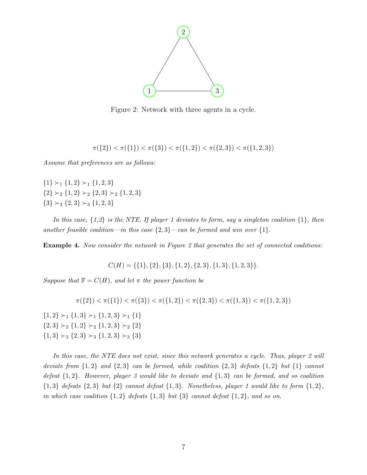

Figure 2: Network with three agents in a cycle.

 $\pi({2}) < \pi({1}) < \pi({3}) < \pi({1, 2}) < \pi({2, 3}) < \pi({1, 2, 3})$ 

Assume that preferences are as follows:

 ${1} > 1 {1, 2} > 1 {1, 2, 3}$  ${2} \succ_2 {1, 2} \succ_2 {2, 3} \succ_2 {1, 2, 3}$  ${3} \succ_3 {2, 3} \succ_3 {1, 2, 3}$ 

In this case,  $\{1,2\}$  is the NTE. If player 1 deviates to form, say a singleton coalition  $\{1\}$ , then another feasible coalition—in this case  $\{2,3\}$ —can be formed and win over  $\{1\}$ .

**Example 4.** Now consider the network in Figure 2 that generates the set of connected coalitions:

 $C(H) = \{\{1\}, \{2\}, \{3\}, \{1, 2\}, \{2, 3\}, \{1, 3\}, \{1, 2, 3\}\}.$ 

Suppose that  $\mathbb{F} = C(H)$ , and let  $\pi$  the power function be

$$
\pi({2}) < \pi({1}) < \pi({3}) < \pi({1,2}) < \pi({2,3}) < \pi({1,3}) < \pi({1,3}) < \pi({1,2,3})
$$

 ${1, 2} \succ_1 {1, 3} \succ_1 {1, 2, 3} \succ_1 {1}$  ${2, 3} \succ_2 {1, 2} \succ_2 {1, 2, 3} \succ_2 {2}$  ${1, 3} \succ_3 {2, 3} \succ_3 {1, 2, 3} \succ_3 {3}$ 

In this case, the NTE does not exist, since this network generates a cycle. Thus, player 2 will deviate from  $\{1,2\}$  and  $\{2,3\}$  can be formed, while coalition  $\{2,3\}$  defeats  $\{1,2\}$  but  $\{1\}$  cannot defeat  $\{1,2\}$ . However, player 3 would like to deviate and  $\{1,3\}$  can be formed, and so coalition  $\{1,3\}$  defeats  $\{2,3\}$  but  $\{2\}$  cannot defeat  $\{1,3\}$ . Nonetheless, player 1 would like to form  $\{1,2\}$ , in which case coalition  $\{1,2\}$  defeats  $\{1,3\}$  but  $\{3\}$  cannot defeat  $\{1,2\}$ , and so on.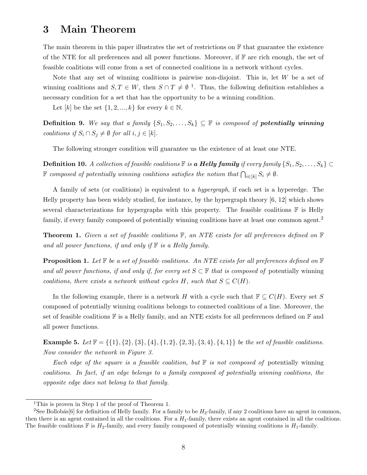# 3 Main Theorem

The main theorem in this paper illustrates the set of restrictions on  $\mathbb F$  that guarantee the existence of the NTE for all preferences and all power functions. Moreover, if  $\mathbb F$  are rich enough, the set of feasible coalitions will come from a set of connected coalitions in a network without cycles.

Note that any set of winning coalitions is pairwise non-disjoint. This is, let  $W$  be a set of winning coalitions and  $S, T \in W$ , then  $S \cap T \neq \emptyset$ <sup>1</sup>. Thus, the following definition establishes a necessary condition for a set that has the opportunity to be a winning condition.

Let  $[k]$  be the set  $\{1, 2, ..., k\}$  for every  $k \in \mathbb{N}$ .

Definition 9. We say that a family  $\{S_1, S_2, \ldots, S_k\} \subseteq \mathbb{F}$  is composed of **potentially winning** coalitions if  $S_i \cap S_j \neq \emptyset$  for all  $i, j \in [k]$ .

The following stronger condition will guarantee us the existence of at least one NTE.

**Definition 10.** A collection of feasible coalitions  $\mathbb{F}$  is a **Helly family** if every family  $\{S_1, S_2, \ldots, S_k\} \subset$  $\mathbb F$  composed of potentially winning coalitions satisfies the notion that  $\bigcap_{i\in[k]}S_i\neq\emptyset$ .

A family of sets (or coalitions) is equivalent to a hypergraph, if each set is a hyperedge. The Helly property has been widely studied, for instance, by the hypergraph theory [6, 12] which shows several characterizations for hypergraphs with this property. The feasible coalitions  $\mathbb F$  is Helly family, if every family composed of potentially winning coalitions have at least one common agent.<sup>2</sup>

**Theorem 1.** Given a set of feasible coalitions  $\mathbb{F}$ , an NTE exists for all preferences defined on  $\mathbb{F}$ and all power functions, if and only if  $\mathbb F$  is a Helly family.

**Proposition 1.** Let  $\mathbb F$  be a set of feasible coalitions. An NTE exists for all preferences defined on  $\mathbb F$ and all power functions, if and only if, for every set  $S \subset \mathbb{F}$  that is composed of potentially winning coalitions, there exists a network without cycles H, such that  $S \subseteq C(H)$ .

In the following example, there is a network H with a cycle such that  $\mathbb{F} \subseteq C(H)$ . Every set S composed of potentially winning coalitions belongs to connected coalitions of a line. Moreover, the set of feasible coalitions  $\mathbb F$  is a Helly family, and an NTE exists for all preferences defined on  $\mathbb F$  and all power functions.

**Example 5.** Let  $\mathbb{F} = \{\{1\}, \{2\}, \{3\}, \{4\}, \{1, 2\}, \{2, 3\}, \{3, 4\}, \{4, 1\}\}\$ be the set of feasible coalitions. Now consider the network in Figure 3.

Each edge of the square is a feasible coalition, but  $\mathbb F$  is not composed of potentially winning coalitions. In fact, if an edge belongs to a family composed of potentially winning coalitions, the opposite edge does not belong to that family.

<sup>&</sup>lt;sup>1</sup>This is proven in Step 1 of the proof of Theorem 1.

<sup>&</sup>lt;sup>2</sup>See Bollobás<sup>[6]</sup> for definition of Helly family. For a family to be  $H_2$ -family, if any 2 coalitions have an agent in common, then there is an agent contained in all the coalitions. For a  $H_1$ -family, there exists an agent contained in all the coalitions. The feasible coalitions  $\mathbb F$  is  $H_2$ -family, and every family composed of potentially winning coalitions is  $H_1$ -family.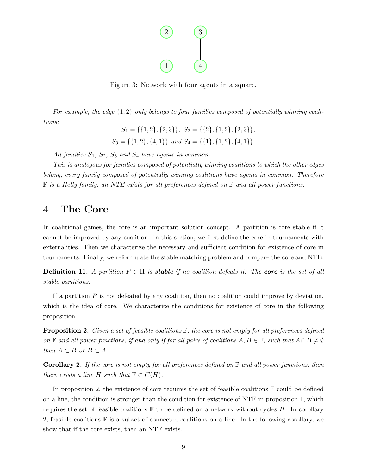

Figure 3: Network with four agents in a square.

For example, the edge  $\{1, 2\}$  only belongs to four families composed of potentially winning coalitions:

$$
S_1 = \{ \{1, 2\}, \{2, 3\} \}, S_2 = \{ \{2\}, \{1, 2\}, \{2, 3\} \},
$$
  

$$
S_3 = \{ \{1, 2\}, \{4, 1\} \} \text{ and } S_4 = \{ \{1\}, \{1, 2\}, \{4, 1\} \}.
$$

All families  $S_1$ ,  $S_2$ ,  $S_3$  and  $S_4$  have agents in common.

This is analogous for families composed of potentially winning coalitions to which the other edges belong, every family composed of potentially winning coalitions have agents in common. Therefore  $\mathbb F$  is a Helly family, an NTE exists for all preferences defined on  $\mathbb F$  and all power functions.

## 4 The Core

In coalitional games, the core is an important solution concept. A partition is core stable if it cannot be improved by any coalition. In this section, we first define the core in tournaments with externalities. Then we characterize the necessary and sufficient condition for existence of core in tournaments. Finally, we reformulate the stable matching problem and compare the core and NTE.

**Definition 11.** A partition  $P \in \Pi$  is **stable** if no coalition defeats it. The **core** is the set of all stable partitions.

If a partition  $P$  is not defeated by any coalition, then no coalition could improve by deviation, which is the idea of core. We characterize the conditions for existence of core in the following proposition.

**Proposition 2.** Given a set of feasible coalitions  $\mathbb{F}$ , the core is not empty for all preferences defined on F and all power functions, if and only if for all pairs of coalitions  $A, B \in \mathbb{F}$ , such that  $A \cap B \neq \emptyset$ then  $A \subset B$  or  $B \subset A$ .

**Corollary 2.** If the core is not empty for all preferences defined on  $\mathbb F$  and all power functions, then there exists a line H such that  $\mathbb{F} \subset C(H)$ .

In proposition 2, the existence of core requires the set of feasible coalitions  $\mathbb F$  could be defined on a line, the condition is stronger than the condition for existence of NTE in proposition 1, which requires the set of feasible coalitions  $\mathbb F$  to be defined on a network without cycles H. In corollary 2, feasible coalitions  $\mathbb F$  is a subset of connected coalitions on a line. In the following corollary, we show that if the core exists, then an NTE exists.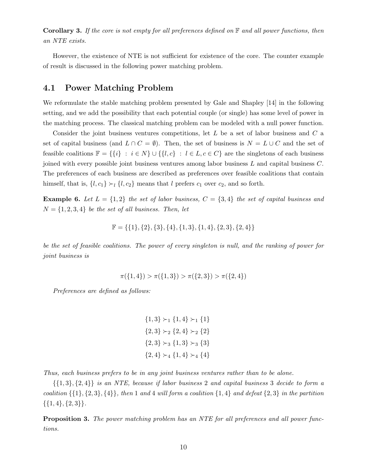**Corollary 3.** If the core is not empty for all preferences defined on  $\mathbb{F}$  and all power functions, then an NTE exists.

However, the existence of NTE is not sufficient for existence of the core. The counter example of result is discussed in the following power matching problem.

### 4.1 Power Matching Problem

We reformulate the stable matching problem presented by Gale and Shapley [14] in the following setting, and we add the possibility that each potential couple (or single) has some level of power in the matching process. The classical matching problem can be modeled with a null power function.

Consider the joint business ventures competitions, let L be a set of labor business and C a set of capital business (and  $L \cap C = \emptyset$ ). Then, the set of business is  $N = L \cup C$  and the set of feasible coalitions  $\mathbb{F} = \{\{i\} : i \in N\} \cup \{\{l, c\} : l \in L, c \in C\}$  are the singletons of each business joined with every possible joint business ventures among labor business L and capital business C. The preferences of each business are described as preferences over feasible coalitions that contain himself, that is,  $\{l, c_1\} \succ_l \{l, c_2\}$  means that l prefers  $c_1$  over  $c_2$ , and so forth.

**Example 6.** Let  $L = \{1, 2\}$  the set of labor business,  $C = \{3, 4\}$  the set of capital business and  $N = \{1, 2, 3, 4\}$  be the set of all business. Then, let

$$
\mathbb{F} = \{ \{1\}, \{2\}, \{3\}, \{4\}, \{1,3\}, \{1,4\}, \{2,3\}, \{2,4\} \}
$$

be the set of feasible coalitions. The power of every singleton is null, and the ranking of power for joint business is

$$
\pi({1, 4}) > \pi({1, 3}) > \pi({2, 3}) > \pi({2, 4})
$$

Preferences are defined as follows:

 ${1, 3} \succ_1 {1, 4} \succ_1 {1}$  ${2,3} \succ_2 {2,4} \succ_2 {2}$  ${2,3} \succ_3 {1,3} \succ_3 {3}$  ${2, 4} \succ_4 {1, 4} \succ_4 {4}$ 

Thus, each business prefers to be in any joint business ventures rather than to be alone.

 $\{\{1,3\},\{2,4\}\}\$ is an NTE, because if labor business 2 and capital business 3 decide to form a coalition  $\{\{1\},\{2,3\},\{4\}\}\$ , then 1 and 4 will form a coalition  $\{1,4\}$  and defeat  $\{2,3\}$  in the partition  $\{\{1,4\},\{2,3\}\}.$ 

**Proposition 3.** The power matching problem has an NTE for all preferences and all power functions.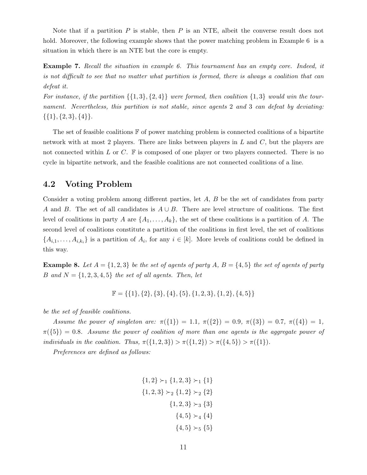Note that if a partition  $P$  is stable, then  $P$  is an NTE, albeit the converse result does not hold. Moreover, the following example shows that the power matching problem in Example 6 is a situation in which there is an NTE but the core is empty.

Example 7. Recall the situation in example 6. This tournament has an empty core. Indeed, it is not difficult to see that no matter what partition is formed, there is always a coalition that can defeat it.

For instance, if the partition  $\{\{1,3\},\{2,4\}\}\,$  were formed, then coalition  $\{1,3\}$  would win the tournament. Nevertheless, this partition is not stable, since agents 2 and 3 can defeat by deviating:  $\{\{1\},\{2,3\},\{4\}\}.$ 

The set of feasible coalitions  $\mathbb F$  of power matching problem is connected coalitions of a bipartite network with at most 2 players. There are links between players in  $L$  and  $C$ , but the players are not connected within L or C.  $\mathbb F$  is composed of one player or two players connected. There is no cycle in bipartite network, and the feasible coalitions are not connected coalitions of a line.

### 4.2 Voting Problem

Consider a voting problem among different parties, let A, B be the set of candidates from party A and B. The set of all candidates is  $A \cup B$ . There are level structure of coalitions. The first level of coalitions in party A are  $\{A_1, \ldots, A_k\}$ , the set of these coalitions is a partition of A. The second level of coalitions constitute a partition of the coalitions in first level, the set of coalitions  $\{A_{i,1},\ldots,A_{i,k_i}\}\$ is a partition of  $A_i$ , for any  $i \in [k]$ . More levels of coalitions could be defined in this way.

**Example 8.** Let  $A = \{1, 2, 3\}$  be the set of agents of party A,  $B = \{4, 5\}$  the set of agents of party B and  $N = \{1, 2, 3, 4, 5\}$  the set of all agents. Then, let

$$
\mathbb{F} = \{\{1\},\{2\},\{3\},\{4\},\{5\},\{1,2,3\},\{1,2\},\{4,5\}\}
$$

be the set of feasible coalitions.

Assume the power of singleton are:  $\pi({1}) = 1.1, \pi({2}) = 0.9, \pi({3}) = 0.7, \pi({4}) = 1,$  $\pi({5}) = 0.8$ . Assume the power of coalition of more than one agents is the aggregate power of individuals in the coalition. Thus,  $\pi({1, 2, 3}) > \pi({1, 2}) > \pi({4, 5}) > \pi({1})$ .

Preferences are defined as follows:

$$
\{1,2\} \succ_1 \{1,2,3\} \succ_1 \{1\}
$$

$$
\{1,2,3\} \succ_2 \{1,2\} \succ_2 \{2\}
$$

$$
\{1,2,3\} \succ_3 \{3\}
$$

$$
\{4,5\} \succ_4 \{4\}
$$

$$
\{4,5\} \succ_5 \{5\}
$$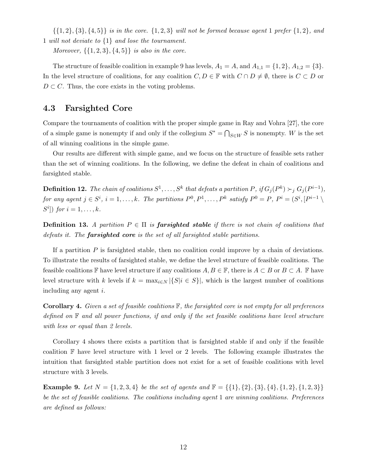$\{\{1,2\},\{3\},\{4,5\}\}\$ is in the core.  $\{1,2,3\}$  will not be formed because agent 1 prefer  $\{1,2\},\$ and 1 will not deviate to {1} and lose the tournament.

Moreover,  $\{\{1, 2, 3\}, \{4, 5\}\}\$ is also in the core.

The structure of feasible coalition in example 9 has levels,  $A_1 = A$ , and  $A_{1,1} = \{1,2\}$ ,  $A_{1,2} = \{3\}$ . In the level structure of coalitions, for any coalition  $C, D \in \mathbb{F}$  with  $C \cap D \neq \emptyset$ , there is  $C \subset D$  or  $D \subset C$ . Thus, the core exists in the voting problems.

### 4.3 Farsighted Core

Compare the tournaments of coalition with the proper simple game in Ray and Vohra [27], the core of a simple game is nonempty if and only if the collegium  $S^* = \bigcap_{S \in W} S$  is nonempty. W is the set of all winning coalitions in the simple game.

Our results are different with simple game, and we focus on the structure of feasible sets rather than the set of winning coalitions. In the following, we define the defeat in chain of coalitions and farsighted stable.

**Definition 12.** The chain of coalitions  $S^1, \ldots, S^k$  that defeats a partition P, if  $G_j(P^k) \succ_j G_j(P^{i-1})$ , for any agent  $j \in S^i$ ,  $i = 1, ..., k$ . The partitions  $P^0, P^1, ..., P^k$  satisfy  $P^0 = P$ ,  $P^i = (S^i, [P^{i-1} \setminus$  $S^i$ ) for  $i = 1, \ldots, k$ .

**Definition 13.** A partition  $P \in \Pi$  is **farsighted stable** if there is not chain of coalitions that defeats it. The **farsighted core** is the set of all farsighted stable partitions.

If a partition  $P$  is farsighted stable, then no coalition could improve by a chain of deviations. To illustrate the results of farsighted stable, we define the level structure of feasible coalitions. The feasible coalitions F have level structure if any coalitions  $A, B \in \mathbb{F}$ , there is  $A \subset B$  or  $B \subset A$ . F have level structure with k levels if  $k = \max_{i \in N} |\{S | i \in S\}|$ , which is the largest number of coalitions including any agent i.

**Corollary 4.** Given a set of feasible coalitions  $\mathbb{F}$ , the farsighted core is not empty for all preferences defined on  $\mathbb F$  and all power functions, if and only if the set feasible coalitions have level structure with less or equal than 2 levels.

Corollary 4 shows there exists a partition that is farsighted stable if and only if the feasible coalition  $\mathbb F$  have level structure with 1 level or 2 levels. The following example illustrates the intuition that farsighted stable partition does not exist for a set of feasible coalitions with level structure with 3 levels.

**Example 9.** Let  $N = \{1, 2, 3, 4\}$  be the set of agents and  $\mathbb{F} = \{\{1\}, \{2\}, \{3\}, \{4\}, \{1, 2\}, \{1, 2, 3\}\}\$ be the set of feasible coalitions. The coalitions including agent 1 are winning coalitions. Preferences are defined as follows: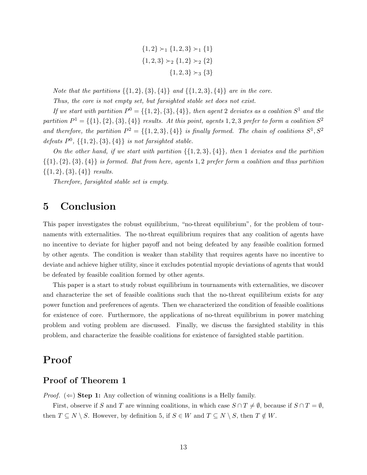${1, 2} \succ_1 {1, 2, 3} \succ_1 {1}$  ${1, 2, 3} \succ_2 {1, 2} \succ_2 {2}$  ${1, 2, 3} \succ_3 {3}$ 

Note that the partitions  $\{\{1,2\},\{3\},\{4\}\}\$ and  $\{\{1,2,3\},\{4\}\}\$ are in the core.

Thus, the core is not empty set, but farsighted stable set does not exist.

If we start with partition  $P^0 = \{\{1,2\},\{3\},\{4\}\}\$ , then agent 2 deviates as a coalition  $S^1$  and the partition  $P^1 = \{\{1\}, \{2\}, \{3\}, \{4\}\}\$ results. At this point, agents 1, 2, 3 prefer to form a coalition  $S^2$ and therefore, the partition  $P^2 = \{\{1,2,3\},\{4\}\}\$ is finally formed. The chain of coalitions  $S^1, S^2$ defeats  $P^0$ ,  $\{\{1,2\},\{3\},\{4\}\}\$ is not farsighted stable.

On the other hand, if we start with partition  $\{\{1,2,3\},\{4\}\}\,$ , then 1 deviates and the partition  $\{\{1\},\{2\},\{3\},\{4\}\}\$ is formed. But from here, agents 1,2 prefer form a coalition and thus partition  $\{\{1,2\},\{3\},\{4\}\}\$  results.

Therefore, farsighted stable set is empty.

# 5 Conclusion

This paper investigates the robust equilibrium, "no-threat equilibrium", for the problem of tournaments with externalities. The no-threat equilibrium requires that any coalition of agents have no incentive to deviate for higher payoff and not being defeated by any feasible coalition formed by other agents. The condition is weaker than stability that requires agents have no incentive to deviate and achieve higher utility, since it excludes potential myopic deviations of agents that would be defeated by feasible coalition formed by other agents.

This paper is a start to study robust equilibrium in tournaments with externalities, we discover and characterize the set of feasible coalitions such that the no-threat equilibrium exists for any power function and preferences of agents. Then we characterized the condition of feasible coalitions for existence of core. Furthermore, the applications of no-threat equilibrium in power matching problem and voting problem are discussed. Finally, we discuss the farsighted stability in this problem, and characterize the feasible coalitions for existence of farsighted stable partition.

# Proof

### Proof of Theorem 1

*Proof.* ( $\Leftarrow$ ) **Step 1:** Any collection of winning coalitions is a Helly family.

First, observe if S and T are winning coalitions, in which case  $S \cap T \neq \emptyset$ , because if  $S \cap T = \emptyset$ , then  $T \subseteq N \setminus S$ . However, by definition 5, if  $S \in W$  and  $T \subseteq N \setminus S$ , then  $T \notin W$ .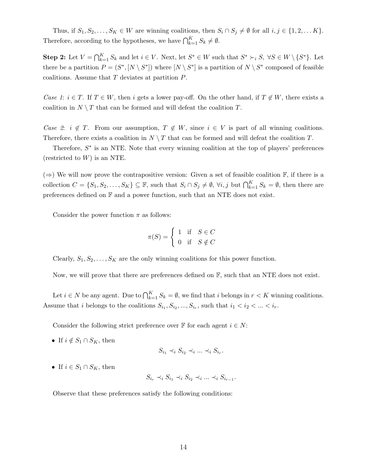Thus, if  $S_1, S_2, \ldots, S_K \in W$  are winning coalitions, then  $S_i \cap S_j \neq \emptyset$  for all  $i, j \in \{1, 2, \ldots K\}$ . Therefore, according to the hypotheses, we have  $\bigcap_{k=1}^{K} S_k \neq \emptyset$ .

**Step 2:** Let  $V = \bigcap_{k=1}^{K} S_k$  and let  $i \in V$ . Next, let  $S^* \in W$  such that  $S^* \succ_i S$ ,  $\forall S \in W \setminus \{S^*\}$ . Let there be a partition  $P = (S^*, [N \setminus S^*])$  where  $[N \setminus S^*]$  is a partition of  $N \setminus S^*$  composed of feasible coalitions. Assume that T deviates at partition P.

Case 1:  $i \in T$ . If  $T \in W$ , then i gets a lower pay-off. On the other hand, if  $T \notin W$ , there exists a coalition in  $N \setminus T$  that can be formed and will defeat the coalition T.

Case 2:  $i \notin T$ . From our assumption,  $T \notin W$ , since  $i \in V$  is part of all winning coalitions. Therefore, there exists a coalition in  $N \setminus T$  that can be formed and will defeat the coalition T.

Therefore,  $S^*$  is an NTE. Note that every winning coalition at the top of players' preferences (restricted to  $W$ ) is an NTE.

 $(\Rightarrow)$  We will now prove the contrapositive version: Given a set of feasible coalition F, if there is a collection  $C = \{S_1, S_2, \ldots, S_K\} \subseteq \mathbb{F}$ , such that  $S_i \cap S_j \neq \emptyset$ ,  $\forall i, j$  but  $\bigcap_{k=1}^K S_k = \emptyset$ , then there are preferences defined on  $\mathbb F$  and a power function, such that an NTE does not exist.

Consider the power function  $\pi$  as follows:

$$
\pi(S) = \begin{cases} 1 & \text{if } S \in C \\ 0 & \text{if } S \notin C \end{cases}
$$

Clearly,  $S_1, S_2, \ldots, S_K$  are the only winning coalitions for this power function.

Now, we will prove that there are preferences defined on  $\mathbb{F}$ , such that an NTE does not exist.

Let  $i \in N$  be any agent. Due to  $\bigcap_{k=1}^{K} S_k = \emptyset$ , we find that i belongs in  $r < K$  winning coalitions. Assume that i belongs to the coalitions  $S_{i_1}, S_{i_2}, ..., S_{i_r}$ , such that  $i_1 < i_2 < ... < i_r$ .

Consider the following strict preference over  $\mathbb F$  for each agent  $i \in N$ :

• If  $i \notin S_1 \cap S_K$ , then

$$
S_{i_1} \prec_i S_{i_2} \prec_i \ldots \prec_i S_{i_r}.
$$

• If  $i \in S_1 \cap S_K$ , then

$$
S_{i_r} \prec_i S_{i_1} \prec_i S_{i_2} \prec_i \ldots \prec_i S_{i_{r-1}}.
$$

Observe that these preferences satisfy the following conditions: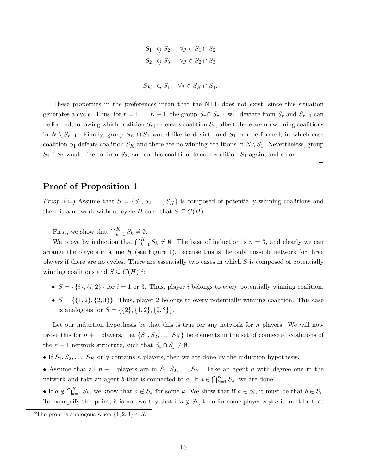$$
S_1 \prec_j S_2, \quad \forall j \in S_1 \cap S_2
$$
  
\n
$$
S_2 \prec_j S_3, \quad \forall j \in S_2 \cap S_3
$$
  
\n:  
\n
$$
S_K \prec_j S_1, \quad \forall j \in S_K \cap S_1.
$$

These properties in the preferences mean that the NTE does not exist, since this situation generates a cycle. Thus, for  $r = 1, ..., K - 1$ , the group  $S_r \cap S_{r+1}$  will deviate from  $S_r$  and  $S_{r+1}$  can be formed, following which coalition  $S_{r+1}$  defeats coalition  $S_r$ , albeit there are no winning coalitions in  $N \setminus S_{r+1}$ . Finally, group  $S_K \cap S_1$  would like to deviate and  $S_1$  can be formed, in which case coalition  $S_1$  defeats coalition  $S_K$  and there are no winning coalitions in  $N \setminus S_1$ . Nevertheless, group  $S_1 \cap S_2$  would like to form  $S_2$ , and so this coalition defeats coalition  $S_1$  again, and so on.

 $\Box$ 

#### Proof of Proposition 1

*Proof.* ( $\Leftarrow$ ) Assume that  $S = \{S_1, S_2, \ldots, S_K\}$  is composed of potentially winning coalitions and there is a network without cycle H such that  $S \subseteq C(H)$ .

First, we show that  $\bigcap_{k=1}^K S_k \neq \emptyset$ .

We prove by induction that  $\bigcap_{k=1}^K S_k \neq \emptyset$ . The base of induction is  $n = 3$ , and clearly we can arrange the players in a line  $H$  (see Figure 1), because this is the only possible network for three players if there are no cycles. There are essentially two cases in which  $S$  is composed of potentially winning coalitions and  $S \subseteq C(H)^3$ :

- $S = \{\{i\}, \{i, 2\}\}\$ for  $i = 1$  or 3. Thus, player i belongs to every potentially winning coalition.
- $S = \{\{1,2\}, \{2,3\}\}\.$  Thus, player 2 belongs to every potentially winning coalition. This case is analogous for  $S = \{\{2\}, \{1, 2\}, \{2, 3\}\}.$

Let our induction hypothesis be that this is true for any network for  $n$  players. We will now prove this for  $n+1$  players. Let  $\{S_1, S_2, \ldots, S_K\}$  be elements in the set of connected coalitions of the  $n + 1$  network structure, such that  $S_i \cap S_j \neq \emptyset$ .

- If  $S_1, S_2, \ldots, S_K$  only contains n players, then we are done by the induction hypothesis.
- Assume that all  $n + 1$  players are in  $S_1, S_2, \ldots, S_K$ . Take an agent a with degree one in the network and take an agent b that is connected to a. If  $a \in \bigcap_{k=1}^{K} S_k$ , we are done.
- If  $a \notin \bigcap_{k=1}^K S_k$ , we know that  $a \notin S_k$  for some k. We show that if  $a \in S_i$ , it must be that  $b \in S_i$ . To exemplify this point, it is noteworthy that if  $a \notin S_k$ , then for some player  $x \neq a$  it must be that

<sup>&</sup>lt;sup>3</sup>The proof is analogous when  $\{1, 2, 3\} \in S$ .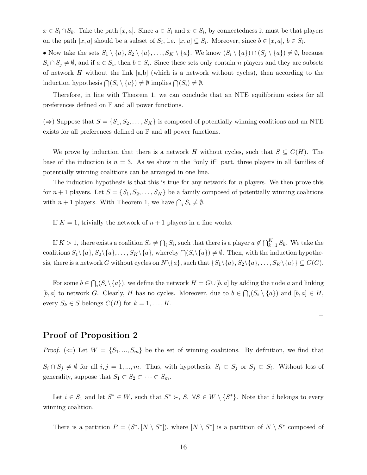$x \in S_i \cap S_k$ . Take the path  $[x, a]$ . Since  $a \in S_i$  and  $x \in S_i$ , by connectedness it must be that players on the path  $[x, a]$  should be a subset of  $S_i$ , i.e.  $[x, a] \subseteq S_i$ . Moreover, since  $b \in [x, a]$ ,  $b \in S_i$ .

• Now take the sets  $S_1 \setminus \{a\}, S_2 \setminus \{a\}, \ldots, S_K \setminus \{a\}.$  We know  $(S_i \setminus \{a\}) \cap (S_j \setminus \{a\}) \neq \emptyset$ , because  $S_i \cap S_j \neq \emptyset$ , and if  $a \in S_i$ , then  $b \in S_i$ . Since these sets only contain n players and they are subsets of network  $H$  without the link [a,b] (which is a network without cycles), then according to the induction hypothesis  $\bigcap (S_i \setminus \{a\}) \neq \emptyset$  implies  $\bigcap (S_i) \neq \emptyset$ .

Therefore, in line with Theorem 1, we can conclude that an NTE equilibrium exists for all preferences defined on F and all power functions.

 $(\Rightarrow)$  Suppose that  $S = \{S_1, S_2, \ldots, S_K\}$  is composed of potentially winning coalitions and an NTE exists for all preferences defined on  $\mathbb F$  and all power functions.

We prove by induction that there is a network H without cycles, such that  $S \subseteq C(H)$ . The base of the induction is  $n = 3$ . As we show in the "only if" part, three players in all families of potentially winning coalitions can be arranged in one line.

The induction hypothesis is that this is true for any network for  $n$  players. We then prove this for  $n+1$  players. Let  $S = \{S_1, S_2, \ldots, S_K\}$  be a family composed of potentially winning coalitions with  $n+1$  players. With Theorem 1, we have  $\bigcap_i S_i \neq \emptyset$ .

If  $K = 1$ , trivially the network of  $n + 1$  players in a line works.

If  $K > 1$ , there exists a coalition  $S_r \neq \bigcap_i S_i$ , such that there is a player  $a \notin \bigcap_{k=1}^K S_k$ . We take the coalitions  $S_1 \setminus \{a\}, S_2 \setminus \{a\}, \ldots, S_K \setminus \{a\},$  whereby  $\bigcap (S_i \setminus \{a\}) \neq \emptyset$ . Then, with the induction hypothesis, there is a network G without cycles on  $N\setminus\{a\}$ , such that  $\{S_1\setminus\{a\}, S_2\setminus\{a\}, \ldots, S_K\setminus\{a\}\}\subseteq C(G)$ .

For some  $b \in \bigcap_i (S_i \setminus \{a\})$ , we define the network  $H = G \cup [b, a]$  by adding the node a and linking [b, a] to network G. Clearly, H has no cycles. Moreover, due to  $b \in \bigcap_i (S_i \setminus \{a\})$  and  $[b, a] \in H$ , every  $S_k \in S$  belongs  $C(H)$  for  $k = 1, \ldots, K$ .

 $\Box$ 

Proof of Proposition 2

*Proof.* ( $\Leftarrow$ ) Let  $W = \{S_1, ..., S_m\}$  be the set of winning coalitions. By definition, we find that  $S_i \cap S_j \neq \emptyset$  for all  $i, j = 1, ..., m$ . Thus, with hypothesis,  $S_i \subset S_j$  or  $S_j \subset S_i$ . Without loss of generality, suppose that  $S_1 \subset S_2 \subset \cdots \subset S_m$ .

Let  $i \in S_1$  and let  $S^* \in W$ , such that  $S^* \succ_i S$ ,  $\forall S \in W \setminus \{S^*\}$ . Note that i belongs to every winning coalition.

There is a partition  $P = (S^*, [N \setminus S^*])$ , where  $[N \setminus S^*]$  is a partition of  $N \setminus S^*$  composed of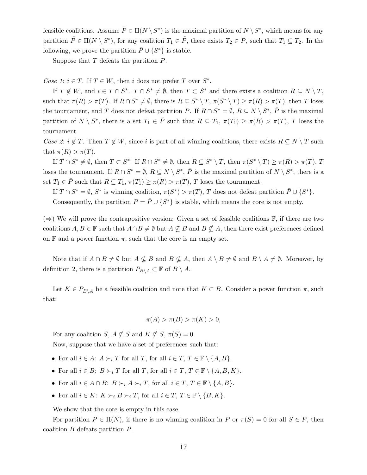feasible coalitions. Assume  $\bar{P} \in \Pi(N \setminus S^*)$  is the maximal partition of  $N \setminus S^*$ , which means for any partition  $\tilde{P} \in \Pi(N \setminus S^*)$ , for any coalition  $T_1 \in \tilde{P}$ , there exists  $T_2 \in \bar{P}$ , such that  $T_1 \subseteq T_2$ . In the following, we prove the partition  $\bar{P} \cup \{S^*\}$  is stable.

Suppose that  $T$  defeats the partition  $P$ .

Case 1:  $i \in T$ . If  $T \in W$ , then i does not prefer T over  $S^*$ .

If  $T \notin W$ , and  $i \in T \cap S^*$ .  $T \cap S^* \neq \emptyset$ , then  $T \subset S^*$  and there exists a coalition  $R \subseteq N \setminus T$ , such that  $\pi(R) > \pi(T)$ . If  $R \cap S^* \neq \emptyset$ , there is  $R \subseteq S^* \setminus T$ ,  $\pi(S^* \setminus T) \geq \pi(R) > \pi(T)$ , then T loses the tournament, and T does not defeat partition P. If  $R \cap S^* = \emptyset$ ,  $R \subseteq N \setminus S^*$ ,  $\overline{P}$  is the maximal partition of  $N \setminus S^*$ , there is a set  $T_1 \in \overline{P}$  such that  $R \subseteq T_1$ ,  $\pi(T_1) \geq \pi(R) > \pi(T)$ , T loses the tournament.

Case 2:  $i \notin T$ . Then  $T \notin W$ , since i is part of all winning coalitions, there exists  $R \subseteq N \setminus T$  such that  $\pi(R) > \pi(T)$ .

If  $T \cap S^* \neq \emptyset$ , then  $T \subset S^*$ . If  $R \cap S^* \neq \emptyset$ , then  $R \subseteq S^* \setminus T$ , then  $\pi(S^* \setminus T) \geq \pi(R) > \pi(T)$ , T loses the tournament. If  $R \cap S^* = \emptyset$ ,  $R \subseteq N \setminus S^*$ ,  $\overline{P}$  is the maximal partition of  $N \setminus S^*$ , there is a set  $T_1 \in \overline{P}$  such that  $R \subseteq T_1$ ,  $\pi(T_1) \geq \pi(R) > \pi(T)$ , T loses the tournament.

If  $T \cap S^* = \emptyset$ ,  $S^*$  is winning coalition,  $\pi(S^*) > \pi(T)$ , T does not defeat partition  $\bar{P} \cup \{S^*\}.$ 

Consequently, the partition  $P = \overline{P} \cup \{S^*\}$  is stable, which means the core is not empty.

(⇒) We will prove the contrapositive version: Given a set of feasible coalitions  $\mathbb{F}$ , if there are two coalitions  $A, B \in \mathbb{F}$  such that  $A \cap B \neq \emptyset$  but  $A \nsubseteq B$  and  $B \nsubseteq A$ , then there exist preferences defined on  $\mathbb F$  and a power function  $\pi$ , such that the core is an empty set.

Note that if  $A \cap B \neq \emptyset$  but  $A \nsubseteq B$  and  $B \nsubseteq A$ , then  $A \setminus B \neq \emptyset$  and  $B \setminus A \neq \emptyset$ . Moreover, by definition 2, there is a partition  $P_{B\setminus A} \subset \mathbb{F}$  of  $B \setminus A$ .

Let  $K \in P_{B \setminus A}$  be a feasible coalition and note that  $K \subset B$ . Consider a power function  $\pi$ , such that:

$$
\pi(A) > \pi(B) > \pi(K) > 0,
$$

For any coalition S,  $A \nsubseteq S$  and  $K \nsubseteq S$ ,  $\pi(S) = 0$ . Now, suppose that we have a set of preferences such that:

- For all  $i \in A$ :  $A \succ_i T$  for all T, for all  $i \in T$ ,  $T \in \mathbb{F} \setminus \{A, B\}$ .
- For all  $i \in B$ :  $B \succ_i T$  for all  $T$ , for all  $i \in T$ ,  $T \in \mathbb{F} \setminus \{A, B, K\}.$
- For all  $i \in A \cap B$ :  $B \succ_i A \succ_i T$ , for all  $i \in T$ ,  $T \in \mathbb{F} \setminus \{A, B\}$ .
- For all  $i \in K: K \succ_i B \succ_i T$ , for all  $i \in T, T \in \mathbb{F} \setminus \{B, K\}.$

We show that the core is empty in this case.

For partition  $P \in \Pi(N)$ , if there is no winning coalition in P or  $\pi(S) = 0$  for all  $S \in P$ , then coalition B defeats partition P.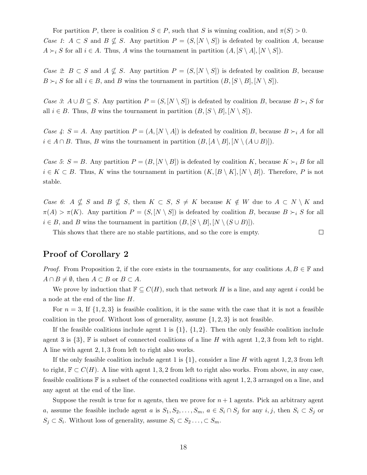For partition P, there is coalition  $S \in P$ , such that S is winning coalition, and  $\pi(S) > 0$ . Case 1:  $A \subset S$  and  $B \nsubseteq S$ . Any partition  $P = (S, [N \setminus S])$  is defeated by coalition A, because  $A \succ_i S$  for all  $i \in A$ . Thus, A wins the tournament in partition  $(A, [S \setminus A], [N \setminus S])$ .

Case 2:  $B \subset S$  and  $A \nsubseteq S$ . Any partition  $P = (S, [N \setminus S])$  is defeated by coalition B, because  $B \succ_i S$  for all  $i \in B$ , and B wins the tournament in partition  $(B, [S \setminus B], [N \setminus S])$ .

Case 3:  $A \cup B \subseteq S$ . Any partition  $P = (S, [N \setminus S])$  is defeated by coalition B, because  $B \succ_i S$  for all  $i \in B$ . Thus, B wins the tournament in partition  $(B, [S \setminus B], [N \setminus S])$ .

Case 4:  $S = A$ . Any partition  $P = (A, [N \setminus A])$  is defeated by coalition B, because  $B \succ_i A$  for all  $i \in A \cap B$ . Thus, B wins the tournament in partition  $(B, [A \setminus B], [N \setminus (A \cup B)]$ .

Case 5:  $S = B$ . Any partition  $P = (B, [N \setminus B])$  is defeated by coalition K, because  $K \succ_i B$  for all  $i \in K \subset B$ . Thus, K wins the tournament in partition  $(K, [B \setminus K], [N \setminus B])$ . Therefore, P is not stable.

Case 6: A  $\nsubseteq S$  and  $B \nsubseteq S$ , then  $K \subset S$ ,  $S \neq K$  because  $K \notin W$  due to  $A \subset N \setminus K$  and  $\pi(A) > \pi(K)$ . Any partition  $P = (S, [N \setminus S])$  is defeated by coalition B, because  $B \succ_i S$  for all  $i \in B$ , and B wins the tournament in partition  $(B, [S \setminus B], [N \setminus (S \cup B)]$ .

This shows that there are no stable partitions, and so the core is empty.

 $\Box$ 

### Proof of Corollary 2

*Proof.* From Proposition 2, if the core exists in the tournaments, for any coalitions  $A, B \in \mathbb{F}$  and  $A \cap B \neq \emptyset$ , then  $A \subset B$  or  $B \subset A$ .

We prove by induction that  $\mathbb{F} \subseteq C(H)$ , such that network H is a line, and any agent i could be a node at the end of the line H.

For  $n = 3$ , If  $\{1, 2, 3\}$  is feasible coalition, it is the same with the case that it is not a feasible coalition in the proof. Without loss of generality, assume  $\{1, 2, 3\}$  is not feasible.

If the feasible coalitions include agent 1 is  $\{1\}$ ,  $\{1, 2\}$ . Then the only feasible coalition include agent 3 is  $\{3\}$ , F is subset of connected coalitions of a line H with agent 1, 2, 3 from left to right. A line with agent 2, 1, 3 from left to right also works.

If the only feasible coalition include agent 1 is  $\{1\}$ , consider a line H with agent 1, 2, 3 from left to right,  $\mathbb{F} \subset C(H)$ . A line with agent 1, 3, 2 from left to right also works. From above, in any case, feasible coalitions  $\mathbb F$  is a subset of the connected coalitions with agent 1, 2, 3 arranged on a line, and any agent at the end of the line.

Suppose the result is true for n agents, then we prove for  $n+1$  agents. Pick an arbitrary agent a, assume the feasible include agent a is  $S_1, S_2, \ldots, S_m$ ,  $a \in S_i \cap S_j$  for any  $i, j$ , then  $S_i \subset S_j$  or  $S_j \subset S_i$ . Without loss of generality, assume  $S_i \subset S_2 \ldots \subset S_m$ .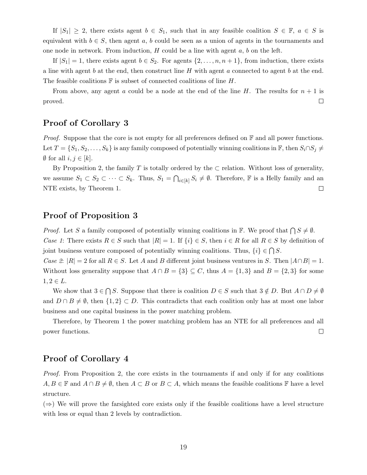If  $|S_1| \geq 2$ , there exists agent  $b \in S_1$ , such that in any feasible coalition  $S \in \mathbb{F}$ ,  $a \in S$  is equivalent with  $b \in S$ , then agent a, b could be seen as a union of agents in the tournaments and one node in network. From induction,  $H$  could be a line with agent  $a, b$  on the left.

If  $|S_1| = 1$ , there exists agent  $b \in S_2$ . For agents  $\{2, \ldots, n, n+1\}$ , from induction, there exists a line with agent b at the end, then construct line H with agent a connected to agent b at the end. The feasible coalitions  $\mathbb F$  is subset of connected coalitions of line H.

From above, any agent a could be a node at the end of the line H. The results for  $n + 1$  is proved.  $\Box$ 

### Proof of Corollary 3

*Proof.* Suppose that the core is not empty for all preferences defined on  $\mathbb{F}$  and all power functions. Let  $T = \{S_1, S_2, \ldots, S_k\}$  is any family composed of potentially winning coalitions in  $\mathbb{F}$ , then  $S_i \cap S_j \neq$  $\emptyset$  for all  $i, j \in [k]$ .

By Proposition 2, the family T is totally ordered by the  $\subset$  relation. Without loss of generality, we assume  $S_1 \subset S_2 \subset \cdots \subset S_k$ . Thus,  $S_1 = \bigcap_{i \in [k]} S_i \neq \emptyset$ . Therefore, **F** is a Helly family and an  $\Box$ NTE exists, by Theorem 1.

### Proof of Proposition 3

*Proof.* Let S a family composed of potentially winning coalitions in  $\mathbb{F}$ . We proof that  $\bigcap S \neq \emptyset$ . Case 1: There exists  $R \in S$  such that  $|R| = 1$ . If  $\{i\} \in S$ , then  $i \in R$  for all  $R \in S$  by definition of

joint business venture composed of potentially winning coalitions. Thus,  $\{i\} \in \bigcap S$ .

Case 2:  $|R| = 2$  for all  $R \in S$ . Let A and B different joint business ventures in S. Then  $|A \cap B| = 1$ . Without loss generality suppose that  $A \cap B = \{3\} \subseteq C$ , thus  $A = \{1,3\}$  and  $B = \{2,3\}$  for some  $1, 2 \in L$ .

We show that  $3 \in \bigcap S$ . Suppose that there is coalition  $D \in S$  such that  $3 \notin D$ . But  $A \cap D \neq \emptyset$ and  $D \cap B \neq \emptyset$ , then  $\{1,2\} \subset D$ . This contradicts that each coalition only has at most one labor business and one capital business in the power matching problem.

Therefore, by Theorem 1 the power matching problem has an NTE for all preferences and all power functions.  $\Box$ 

### Proof of Corollary 4

Proof. From Proposition 2, the core exists in the tournaments if and only if for any coalitions  $A, B \in \mathbb{F}$  and  $A \cap B \neq \emptyset$ , then  $A \subset B$  or  $B \subset A$ , which means the feasible coalitions  $\mathbb{F}$  have a level structure.

 $(\Rightarrow)$  We will prove the farsighted core exists only if the feasible coalitions have a level structure with less or equal than 2 levels by contradiction.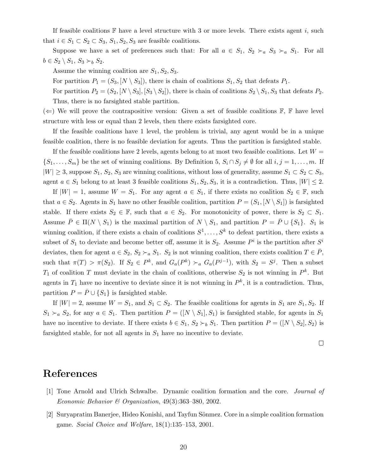If feasible coalitions  $\mathbb F$  have a level structure with 3 or more levels. There exists agent i, such that  $i \in S_1 \subset S_2 \subset S_3$ ,  $S_1, S_2, S_3$  are feasible coalitions.

Suppose we have a set of preferences such that: For all  $a \in S_1$ ,  $S_2 \succ_a S_3 \succ_a S_1$ . For all  $b \in S_2 \setminus S_1, S_3 \succ_b S_2.$ 

Assume the winning coalition are  $S_1, S_2, S_3$ .

For partition  $P_1 = (S_3, [N \setminus S_3])$ , there is chain of coalitions  $S_1, S_2$  that defeats  $P_1$ .

For partition  $P_2 = (S_2, [N \setminus S_3], [S_3 \setminus S_2])$ , there is chain of coalitions  $S_2 \setminus S_1$ ,  $S_3$  that defeats  $P_2$ . Thus, there is no farsighted stable partition.

 $(\Leftarrow)$  We will prove the contrapositive version: Given a set of feasible coalitions  $\mathbb{F}, \mathbb{F}$  have level structure with less or equal than 2 levels, then there exists farsighted core.

If the feasible coalitions have 1 level, the problem is trivial, any agent would be in a unique feasible coalition, there is no feasible deviation for agents. Thus the partition is farsighted stable.

If the feasible coalitions have 2 levels, agents belong to at most two feasible coalitions. Let  $W =$  $\{S_1, \ldots, S_m\}$  be the set of winning coalitions. By Definition 5,  $S_i \cap S_j \neq \emptyset$  for all  $i, j = 1, \ldots, m$ . If  $|W| \geq 3$ , suppose  $S_1, S_2, S_3$  are winning coalitions, without loss of generality, assume  $S_1 \subset S_2 \subset S_3$ , agent  $a \in S_1$  belong to at least 3 feasible coalitions  $S_1, S_2, S_3$ , it is a contradiction. Thus,  $|W| \leq 2$ .

If  $|W| = 1$ , assume  $W = S_1$ . For any agent  $a \in S_1$ , if there exists no coalition  $S_2 \in \mathbb{F}$ , such that  $a \in S_2$ . Agents in  $S_1$  have no other feasible coalition, partition  $P = (S_1, [N \setminus S_1])$  is farsighted stable. If there exists  $S_2 \in \mathbb{F}$ , such that  $a \in S_2$ . For monotonicity of power, there is  $S_2 \subset S_1$ . Assume  $\overline{P} \in \Pi(N \setminus S_1)$  is the maximal partition of  $N \setminus S_1$ , and partition  $P = \overline{P} \cup \{S_1\}$ .  $S_1$  is winning coalition, if there exists a chain of coalitions  $S^1, \ldots, S^k$  to defeat partition, there exists a subset of  $S_1$  to deviate and become better off, assume it is  $S_2$ . Assume  $P<sup>i</sup>$  is the partition after  $S<sup>i</sup>$ deviates, then for agent  $a \in S_2$ ,  $S_2 \succ_a S_1$ .  $S_2$  is not winning coalition, there exists coalition  $T \in P$ , such that  $\pi(T) > \pi(S_2)$ . If  $S_2 \in P^k$ , and  $G_a(P^k) >_a G_a(P^{j-1})$ , with  $S_2 = S^j$ . Then a subset  $T_1$  of coalition T must deviate in the chain of coalitions, otherwise  $S_2$  is not winning in  $P^k$ . But agents in  $T_1$  have no incentive to deviate since it is not winning in  $P^k$ , it is a contradiction. Thus, partition  $P = \overline{P} \cup \{S_1\}$  is farsighted stable.

If  $|W| = 2$ , assume  $W = S_1$ , and  $S_1 \subset S_2$ . The feasible coalitions for agents in  $S_1$  are  $S_1, S_2$ . If  $S_1 \succ_a S_2$ , for any  $a \in S_1$ . Then partition  $P = ([N \setminus S_1], S_1)$  is farsighted stable, for agents in  $S_1$ have no incentive to deviate. If there exists  $b \in S_1$ ,  $S_2 \succ_b S_1$ . Then partition  $P = (N \setminus S_2], S_2)$  is farsighted stable, for not all agents in  $S_1$  have no incentive to deviate.

 $\Box$ 

## References

- [1] Tone Arnold and Ulrich Schwalbe. Dynamic coalition formation and the core. Journal of Economic Behavior & Organization, 49(3):363–380, 2002.
- [2] Suryapratim Banerjee, Hideo Konishi, and Tayfun S¨onmez. Core in a simple coalition formation game. Social Choice and Welfare, 18(1):135–153, 2001.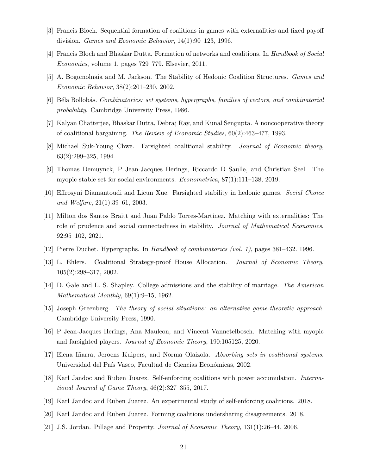- [3] Francis Bloch. Sequential formation of coalitions in games with externalities and fixed payoff division. Games and Economic Behavior, 14(1):90–123, 1996.
- [4] Francis Bloch and Bhaskar Dutta. Formation of networks and coalitions. In Handbook of Social Economics, volume 1, pages 729–779. Elsevier, 2011.
- [5] A. Bogomolnaia and M. Jackson. The Stability of Hedonic Coalition Structures. Games and Economic Behavior, 38(2):201–230, 2002.
- [6] Béla Bollobás. Combinatorics: set systems, hypergraphs, families of vectors, and combinatorial probability. Cambridge University Press, 1986.
- [7] Kalyan Chatterjee, Bhaskar Dutta, Debraj Ray, and Kunal Sengupta. A noncooperative theory of coalitional bargaining. The Review of Economic Studies, 60(2):463–477, 1993.
- [8] Michael Suk-Young Chwe. Farsighted coalitional stability. Journal of Economic theory, 63(2):299–325, 1994.
- [9] Thomas Demuynck, P Jean-Jacques Herings, Riccardo D Saulle, and Christian Seel. The myopic stable set for social environments. Econometrica, 87(1):111–138, 2019.
- [10] Effrosyni Diamantoudi and Licun Xue. Farsighted stability in hedonic games. Social Choice and Welfare, 21(1):39–61, 2003.
- [11] Milton dos Santos Braitt and Juan Pablo Torres-Mart´ınez. Matching with externalities: The role of prudence and social connectedness in stability. *Journal of Mathematical Economics*, 92:95–102, 2021.
- [12] Pierre Duchet. Hypergraphs. In Handbook of combinatorics (vol. 1), pages 381–432. 1996.
- [13] L. Ehlers. Coalitional Strategy-proof House Allocation. Journal of Economic Theory, 105(2):298–317, 2002.
- [14] D. Gale and L. S. Shapley. College admissions and the stability of marriage. The American Mathematical Monthly, 69(1):9–15, 1962.
- [15] Joseph Greenberg. The theory of social situations: an alternative game-theoretic approach. Cambridge University Press, 1990.
- [16] P Jean-Jacques Herings, Ana Mauleon, and Vincent Vannetelbosch. Matching with myopic and farsighted players. Journal of Economic Theory, 190:105125, 2020.
- [17] Elena Iñarra, Jeroens Kuipers, and Norma Olaizola. Absorbing sets in coalitional systems. Universidad del País Vasco, Facultad de Ciencias Económicas, 2002.
- [18] Karl Jandoc and Ruben Juarez. Self-enforcing coalitions with power accumulation. International Journal of Game Theory, 46(2):327–355, 2017.
- [19] Karl Jandoc and Ruben Juarez. An experimental study of self-enforcing coalitions. 2018.
- [20] Karl Jandoc and Ruben Juarez. Forming coalitions undersharing disagreements. 2018.
- [21] J.S. Jordan. Pillage and Property. Journal of Economic Theory, 131(1):26–44, 2006.